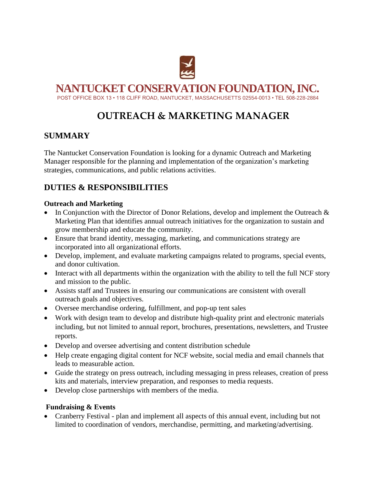

**NANTUCKET CONSERVATION FOUNDATION, INC.**

POST OFFICE BOX 13 • 118 CLIFF ROAD, NANTUCKET, MASSACHUSETTS 02554-0013 • TEL 508-228-2884

# **OUTREACH & MARKETING MANAGER**

## **SUMMARY**

The Nantucket Conservation Foundation is looking for a dynamic Outreach and Marketing Manager responsible for the planning and implementation of the organization's marketing strategies, communications, and public relations activities.

# **DUTIES & RESPONSIBILITIES**

#### **Outreach and Marketing**

- In Conjunction with the Director of Donor Relations, develop and implement the Outreach  $\&$ Marketing Plan that identifies annual outreach initiatives for the organization to sustain and grow membership and educate the community.
- Ensure that brand identity, messaging, marketing, and communications strategy are incorporated into all organizational efforts.
- Develop, implement, and evaluate marketing campaigns related to programs, special events, and donor cultivation.
- Interact with all departments within the organization with the ability to tell the full NCF story and mission to the public.
- Assists staff and Trustees in ensuring our communications are consistent with overall outreach goals and objectives.
- Oversee merchandise ordering, fulfillment, and pop-up tent sales
- Work with design team to develop and distribute high-quality print and electronic materials including, but not limited to annual report, brochures, presentations, newsletters, and Trustee reports.
- Develop and oversee advertising and content distribution schedule
- Help create engaging digital content for NCF website, social media and email channels that leads to measurable action.
- Guide the strategy on press outreach, including messaging in press releases, creation of press kits and materials, interview preparation, and responses to media requests.
- Develop close partnerships with members of the media.

#### **Fundraising & Events**

• Cranberry Festival - plan and implement all aspects of this annual event, including but not limited to coordination of vendors, merchandise, permitting, and marketing/advertising.